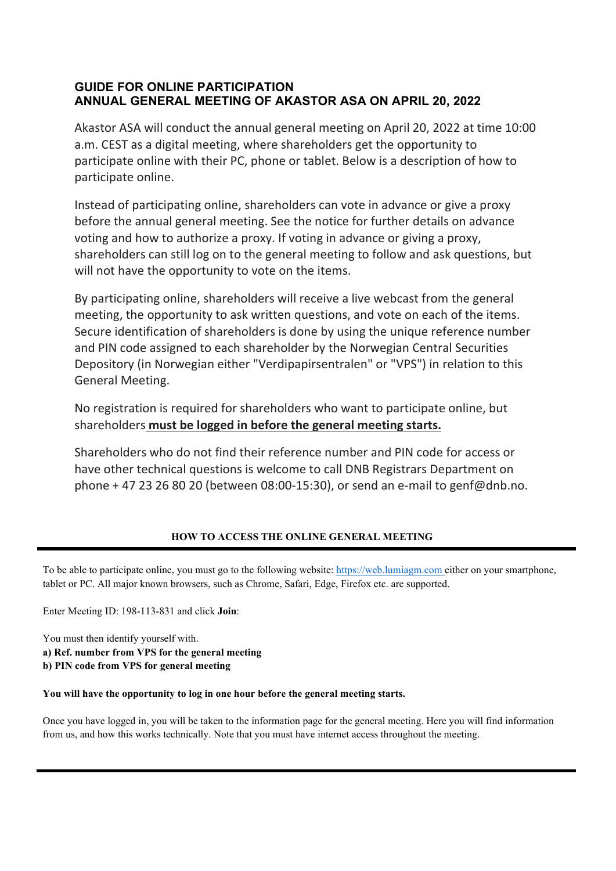# **GUIDE FOR ONLINE PARTICIPATION ANNUAL GENERAL MEETING OF AKASTOR ASA ON APRIL 20, 2022**

Akastor ASA will conduct the annual general meeting on April 20, 2022 at time 10:00 a.m. CEST as a digital meeting, where shareholders get the opportunity to participate online with their PC, phone or tablet. Below is a description of how to participate online.

Instead of participating online, shareholders can vote in advance or give a proxy before the annual general meeting. See the notice for further details on advance voting and how to authorize a proxy. If voting in advance or giving a proxy, shareholders can still log on to the general meeting to follow and ask questions, but will not have the opportunity to vote on the items.

By participating online, shareholders will receive a live webcast from the general meeting, the opportunity to ask written questions, and vote on each of the items. Secure identification of shareholders is done by using the unique reference number and PIN code assigned to each shareholder by the Norwegian Central Securities Depository (in Norwegian either "Verdipapirsentralen" or "VPS") in relation to this General Meeting.

No registration is required for shareholders who want to participate online, but shareholders **must be logged in before the general meeting starts.**

Shareholders who do not find their reference number and PIN code for access or have other technical questions is welcome to call DNB Registrars Department on phone + 47 23 26 80 20 (between 08:00-15:30), or send an e-mail to genf@dnb.no.

## **HOW TO ACCESS THE ONLINE GENERAL MEETING**

To be able to participate online, you must go to the following website: [https://web.lumiagm.com](https://web.lumiagm.com/) either on your smartphone, tablet or PC. All major known browsers, such as Chrome, Safari, Edge, Firefox etc. are supported.

Enter Meeting ID: 198-113-831 and click **Join**:

You must then identify yourself with.

**a) Ref. number from VPS for the general meeting**

**b) PIN code from VPS for general meeting**

#### **You will have the opportunity to log in one hour before the general meeting starts.**

Once you have logged in, you will be taken to the information page for the general meeting. Here you will find information from us, and how this works technically. Note that you must have internet access throughout the meeting.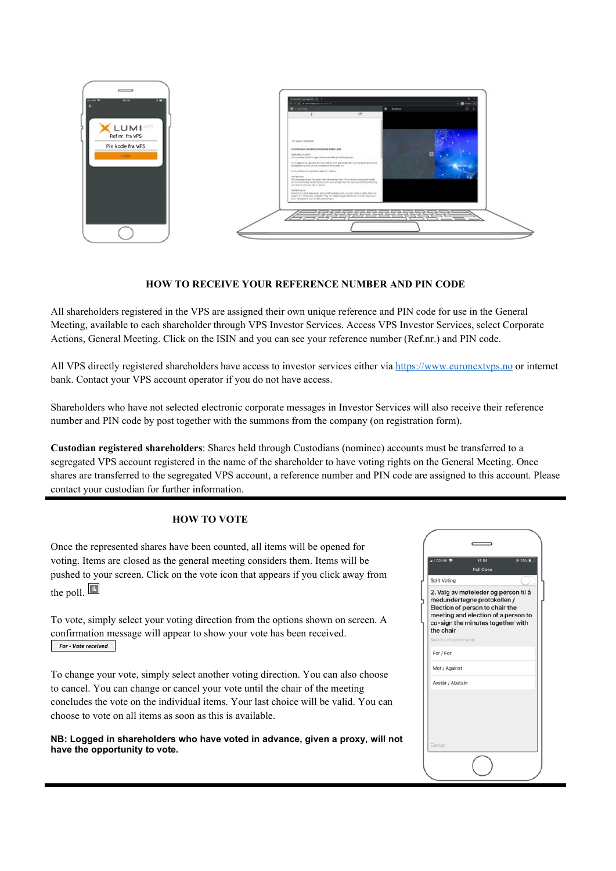

#### **HOW TO RECEIVE YOUR REFERENCE NUMBER AND PIN CODE**

All shareholders registered in the VPS are assigned their own unique reference and PIN code for use in the General Meeting, available to each shareholder through VPS Investor Services. Access VPS Investor Services, select Corporate Actions, General Meeting. Click on the ISIN and you can see your reference number (Ref.nr.) and PIN code.

All VPS directly registered shareholders have access to investor services either via [https://www.euronextvps.no](https://www.euronextvps.no/) or internet bank. Contact your VPS account operator if you do not have access.

Shareholders who have not selected electronic corporate messages in Investor Services will also receive their reference number and PIN code by post together with the summons from the company (on registration form).

**Custodian registered shareholders**: Shares held through Custodians (nominee) accounts must be transferred to a segregated VPS account registered in the name of the shareholder to have voting rights on the General Meeting. Once shares are transferred to the segregated VPS account, a reference number and PIN code are assigned to this account. Please contact your custodian for further information.

#### **HOW TO VOTE**

Once the represented shares have been counted, all items will be opened for voting. Items are closed as the general meeting considers them. Items will be pushed to your screen. Click on the vote icon that appears if you click away from the poll.  $\blacksquare$ 

To vote, simply select your voting direction from the options shown on screen. A confirmation message will appear to show your vote has been received. *For - Vote received*

To change your vote, simply select another voting direction. You can also choose to cancel. You can change or cancel your vote until the chair of the meeting concludes the vote on the individual items. Your last choice will be valid. You can choose to vote on all items as soon as this is available.

**NB: Logged in shareholders who have voted in advance, given a proxy, will not have the opportunity to vote.**

| ⊪I O2-UK କ               | 15:54<br>⊕ 33%<br>Poll Open                                                                                                                                                        |
|--------------------------|------------------------------------------------------------------------------------------------------------------------------------------------------------------------------------|
| Split Voting             |                                                                                                                                                                                    |
| the chair                | 2. Valg av møteleder og person til å<br>medundertegne protokollen /<br>Election of person to chair the<br>meeting and election of a person to<br>co-sign the minutes together with |
| Select a choice to send. |                                                                                                                                                                                    |
| For / For                |                                                                                                                                                                                    |
| Mot / Against            |                                                                                                                                                                                    |
| Avstår / Abstain         |                                                                                                                                                                                    |
|                          |                                                                                                                                                                                    |